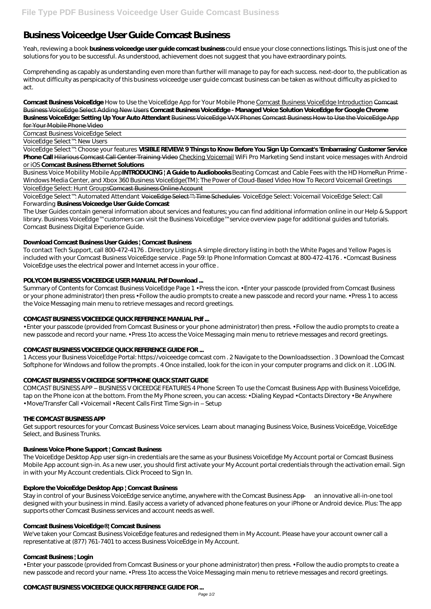# **Business Voiceedge User Guide Comcast Business**

Yeah, reviewing a book **business voiceedge user guide comcast business** could ensue your close connections listings. This is just one of the solutions for you to be successful. As understood, achievement does not suggest that you have extraordinary points.

Comprehending as capably as understanding even more than further will manage to pay for each success. next-door to, the publication as without difficulty as perspicacity of this business voiceedge user guide comcast business can be taken as without difficulty as picked to act.

**Comcast Business VoiceEdge** How to Use the VoiceEdge App for Your Mobile Phone Comcast Business VoiceEdge Introduction Comcast Business VoiceEdge Select Adding New Users **Comcast Business VoiceEdge - Managed Voice Solution VoiceEdge for Google Chrome Business VoiceEdge: Setting Up Your Auto Attendant** Business VoiceEdge VVX Phones Comcast Business How to Use the VoiceEdge App for Your Mobile Phone Video

Comcast Business VoiceEdge Select

VoiceEdge Select™: New Users

VoiceEdge Select™: Choose your features **VISIBLE REVIEW: 9 Things to Know Before You Sign Up Comcast's 'Embarrasing' Customer Service Phone Call** Hilarious Comcast Call Center Training Video Checking Voicemail *WiFi Pro Marketing Send instant voice messages with Android or iOS* **Comcast Business Ethernet Solutions**

Business Voice Mobility Mobile App**INTRODUCING | A Guide to Audiobooks** *Beating Comcast and Cable Fees with the HD HomeRun Prime - Windows Media Center, and Xbox 360* Business VoiceEdge(TM): The Power of Cloud-Based Video How To Record Voicemail Greetings VoiceEdge Select: Hunt GroupsComcast Business Online Account

VoiceEdge Select™: Automated Attendant VoiceEdge Select™: Time Schedules *VoiceEdge Select: Voicemail VoiceEdge Select: Call Forwarding* **Business Voiceedge User Guide Comcast**

The User Guides contain general information about services and features; you can find additional information online in our Help & Support library. Business VoiceEdge™ customers can visit the Business VoiceEdge™ service overview page for additional guides and tutorials. Comcast Business Digital Experience Guide.

# **Download Comcast Business User Guides | Comcast Business**

To contact Tech Support, call 800-472-4176 . Directory Listings A simple directory listing in both the White Pages and Yellow Pages is included with your Comcast Business VoiceEdge service . Page 59: Ip Phone Information Comcast at 800-472-4176 . • Comcast Business VoiceEdge uses the electrical power and Internet access in your office .

# **POLYCOM BUSINESS VOICEEDGE USER MANUAL Pdf Download ...**

Summary of Contents for Comcast Business VoiceEdge Page 1 • Press the icon. • Enter your passcode (provided from Comcast Business or your phone administrator) then press • Follow the audio prompts to create a new passcode and record your name. • Press 1 to access the Voice Messaging main menu to retrieve messages and record greetings.

# **COMCAST BUSINESS VOICEEDGE QUICK REFERENCE MANUAL Pdf ...**

• Enter your passcode (provided from Comcast Business or your phone administrator) then press. • Follow the audio prompts to create a new passcode and record your name. • Press 1to access the Voice Messaging main menu to retrieve messages and record greetings.

# **COMCAST BUSINESS VOICEEDGE QUICK REFERENCE GUIDE FOR ...**

1 Access your Business VoiceEdge Portal: https://voiceedge comcast com . 2 Navigate to the Downloadssection . 3 Download the Comcast Softphone for Windows and follow the prompts . 4 Once installed, look for the icon in your computer programs and click on it . LOG IN.

# **COMCAST BUSINESS V OICEEDGE SOFTPHONE QUICK START GUIDE**

COMCAST BUSINESS APP – BUSINESS V OICEEDGE FEATURES 4 Phone Screen To use the Comcast Business App with Business VoiceEdge, tap on the Phone icon at the bottom. From the My Phone screen, you can access: • Dialing Keypad • Contacts Directory • Be Anywhere • Move/Transfer Call • Voicemail • Recent Calls First Time Sign-in – Setup

# **THE COMCAST BUSINESS APP**

Get support resources for your Comcast Business Voice services. Learn about managing Business Voice, Business VoiceEdge, VoiceEdge Select, and Business Trunks.

# **Business Voice Phone Support | Comcast Business**

The VoiceEdge Desktop App user sign-in credentials are the same as your Business VoiceEdge My Account portal or Comcast Business

Mobile App account sign-in. As a new user, you should first activate your My Account portal credentials through the activation email. Sign in with your My Account credentials. Click Proceed to Sign In.

# **Explore the VoiceEdge Desktop App | Comcast Business**

Stay in control of your Business VoiceEdge service anytime, anywhere with the Comcast Business App — an innovative all-in-one tool designed with your business in mind. Easily access a variety of advanced phone features on your iPhone or Android device. Plus: The app supports other Comcast Business services and account needs as well.

#### **Comcast Business VoiceEdge® | Comcast Business**

We've taken your Comcast Business VoiceEdge features and redesigned them in My Account. Please have your account owner call a representative at (877) 761-7401 to access Business VoiceEdge in My Account.

#### **Comcast Business | Login**

• Enter your passcode (provided from Comcast Business or your phone administrator) then press. • Follow the audio prompts to create a new passcode and record your name. • Press 1to access the Voice Messaging main menu to retrieve messages and record greetings.

# **COMCAST BUSINESS VOICEEDGE QUICK REFERENCE GUIDE FOR ...**